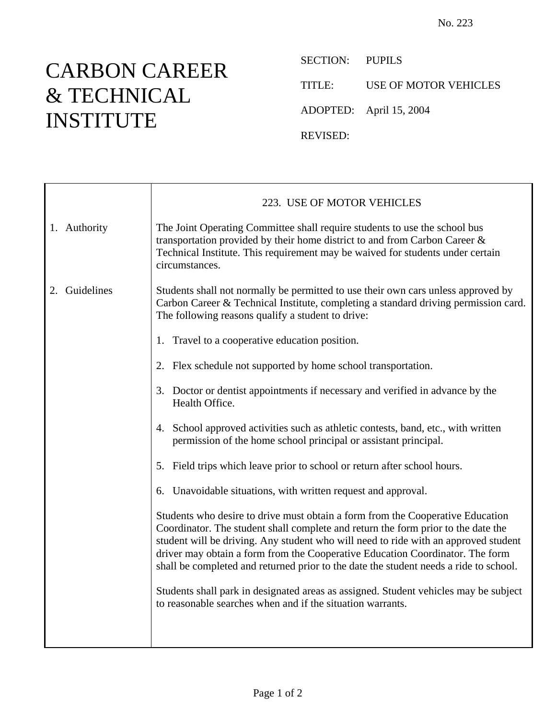## CARBON CAREER & TECHNICAL INSTITUTE

SECTION: PUPILS

TITLE: USE OF MOTOR VEHICLES

ADOPTED: April 15, 2004

REVISED:

|               | 223. USE OF MOTOR VEHICLES                                                                                                                                                                                                                                                                                                                                                                                                                                                                                                   |
|---------------|------------------------------------------------------------------------------------------------------------------------------------------------------------------------------------------------------------------------------------------------------------------------------------------------------------------------------------------------------------------------------------------------------------------------------------------------------------------------------------------------------------------------------|
| 1. Authority  | The Joint Operating Committee shall require students to use the school bus<br>transportation provided by their home district to and from Carbon Career &<br>Technical Institute. This requirement may be waived for students under certain<br>circumstances.                                                                                                                                                                                                                                                                 |
| 2. Guidelines | Students shall not normally be permitted to use their own cars unless approved by<br>Carbon Career & Technical Institute, completing a standard driving permission card.<br>The following reasons qualify a student to drive:                                                                                                                                                                                                                                                                                                |
|               | 1. Travel to a cooperative education position.                                                                                                                                                                                                                                                                                                                                                                                                                                                                               |
|               | 2. Flex schedule not supported by home school transportation.                                                                                                                                                                                                                                                                                                                                                                                                                                                                |
|               | 3. Doctor or dentist appointments if necessary and verified in advance by the<br>Health Office.                                                                                                                                                                                                                                                                                                                                                                                                                              |
|               | 4. School approved activities such as athletic contests, band, etc., with written<br>permission of the home school principal or assistant principal.                                                                                                                                                                                                                                                                                                                                                                         |
|               | 5. Field trips which leave prior to school or return after school hours.                                                                                                                                                                                                                                                                                                                                                                                                                                                     |
|               | 6. Unavoidable situations, with written request and approval.                                                                                                                                                                                                                                                                                                                                                                                                                                                                |
|               | Students who desire to drive must obtain a form from the Cooperative Education<br>Coordinator. The student shall complete and return the form prior to the date the<br>student will be driving. Any student who will need to ride with an approved student<br>driver may obtain a form from the Cooperative Education Coordinator. The form<br>shall be completed and returned prior to the date the student needs a ride to school.<br>Students shall park in designated areas as assigned. Student vehicles may be subject |
|               | to reasonable searches when and if the situation warrants.                                                                                                                                                                                                                                                                                                                                                                                                                                                                   |